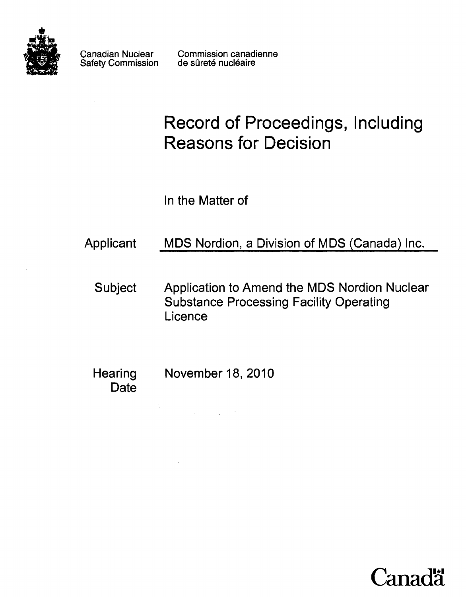

Safety Commission

Canadian Nuclear Commission canadienne<br>Safety Commission de sûreté nucléaire

# **Record of Proceedings, Including Reasons for Decision**

In the Matter of

- Applicant MDS Nordion, a Division of MDS (Canada) Inc.
	- Subject Application to Amend the MDS Nordion Nuclear Substance Processing Facility Operating Licence
	- Hearing November 18, 2010 **Date**

 $\label{eq:2.1} \frac{1}{\sqrt{2\pi}}\int_{0}^{\infty}\frac{1}{\sqrt{2\pi}}\left(\frac{1}{\sqrt{2\pi}}\right)^{2\alpha} \frac{1}{\sqrt{2\pi}}\int_{0}^{\infty}\frac{1}{\sqrt{2\pi}}\frac{1}{\sqrt{2\pi}}\frac{1}{\sqrt{2\pi}}\frac{1}{\sqrt{2\pi}}\frac{1}{\sqrt{2\pi}}\frac{1}{\sqrt{2\pi}}\frac{1}{\sqrt{2\pi}}\frac{1}{\sqrt{2\pi}}\frac{1}{\sqrt{2\pi}}\frac{1}{\sqrt{2\pi}}\frac{1}{\sqrt{2\pi}}\frac{$ 

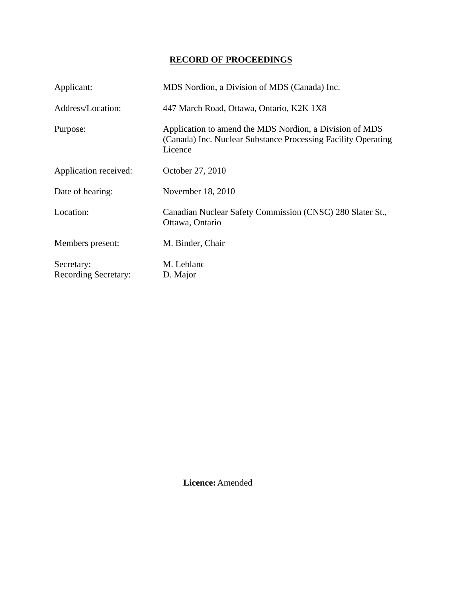# **RECORD OF PROCEEDINGS**

| Applicant:                  | MDS Nordion, a Division of MDS (Canada) Inc.                                                                                        |
|-----------------------------|-------------------------------------------------------------------------------------------------------------------------------------|
| Address/Location:           | 447 March Road, Ottawa, Ontario, K2K 1X8                                                                                            |
| Purpose:                    | Application to amend the MDS Nordion, a Division of MDS<br>(Canada) Inc. Nuclear Substance Processing Facility Operating<br>Licence |
| Application received:       | October 27, 2010                                                                                                                    |
| Date of hearing:            | November 18, 2010                                                                                                                   |
| Location:                   | Canadian Nuclear Safety Commission (CNSC) 280 Slater St.,<br>Ottawa, Ontario                                                        |
| Members present:            | M. Binder, Chair                                                                                                                    |
| Secretary:                  | M. Leblanc                                                                                                                          |
| <b>Recording Secretary:</b> | D. Major                                                                                                                            |

 **Licence:** Amended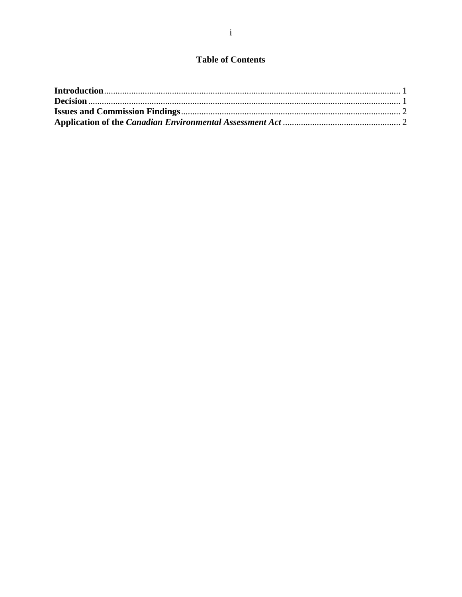## **Table of Contents**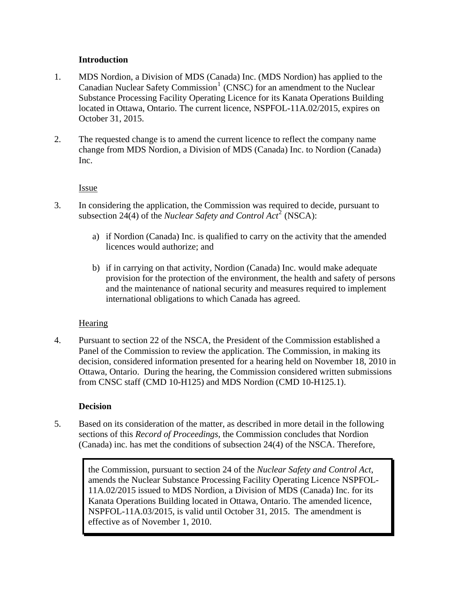### **Introduction**

- <span id="page-3-0"></span>1. MDS Nordion, a Division of MDS (Canada) Inc. (MDS Nordion) has applied to the Canadian Nuclear Safety Commission<sup>[1](#page-3-0)</sup> (CNSC) for an amendment to the Nuclear Substance Processing Facility Operating Licence for its Kanata Operations Building located in Ottawa, Ontario. The current licence, NSPFOL-11A.02/2015, expires on October 31, 2015.
- 2. The requested change is to amend the current licence to reflect the company name change from MDS Nordion, a Division of MDS (Canada) Inc. to Nordion (Canada) Inc.

### Issue

- 3. In considering the application, the Commission was required to decide, pursuant to subsection [2](#page-3-0)4(4) of the *Nuclear Safety and Control Act*<sup>2</sup> (NSCA):
	- a) if Nordion (Canada) Inc. is qualified to carry on the activity that the amended licences would authorize; and
	- b) if in carrying on that activity, Nordion (Canada) Inc. would make adequate provision for the protection of the environment, the health and safety of persons and the maintenance of national security and measures required to implement international obligations to which Canada has agreed.

## **Hearing**

4. Pursuant to section 22 of the NSCA, the President of the Commission established a Panel of the Commission to review the application. The Commission, in making its decision, considered information presented for a hearing held on November 18, 2010 in Ottawa, Ontario. During the hearing, the Commission considered written submissions from CNSC staff (CMD 10-H125) and MDS Nordion (CMD 10-H125.1).

#### **Decision**

5. Based on its consideration of the matter, as described in more detail in the following sections of this *Record of Proceedings*, the Commission concludes that Nordion (Canada) inc. has met the conditions of subsection 24(4) of the NSCA. Therefore,

> the Commission, pursuant to section 24 of the *Nuclear Safety and Control Act*, amends the Nuclear Substance Processing Facility Operating Licence NSPFOL-11A.02/2015 issued to MDS Nordion, a Division of MDS (Canada) Inc. for its Kanata Operations Building located in Ottawa, Ontario. The amended licence, NSPFOL-11A.03/2015, is valid until October 31, 2015. The amendment is effective as of November 1, 2010.